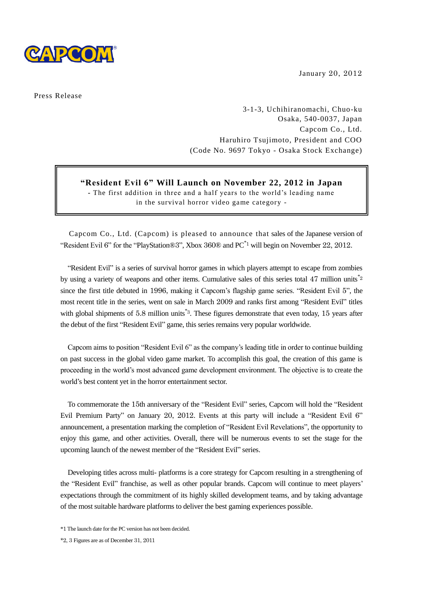

January 20, 2012

Press Release

3-1-3, Uchihiranomachi, Chuo-ku Osaka, 540-0037, Japan Capcom Co., Ltd. Haruhiro Tsujimoto, President and COO (Code No. 9697 Tokyo - Osaka Stock Exchange)

## **"Resident Evil 6" Will Launch on November 22, 2012 in Japan**

**-** The first addition in three and a half years to the world's leading name in the survival horror video game category -

Capcom Co., Ltd. (Capcom) is pleased to announce that sales of the Japanese version of "Resident Evil 6" for the "PlayStation®3", Xbox 360® and PC\*<sup>1</sup> will begin on November 22, 2012.

"Resident Evil" is a series of survival horror games in which players attempt to escape from zombies by using a variety of weapons and other items. Cumulative sales of this series total  $47$  million units<sup> $*2$ </sup> since the first title debuted in 1996, making it Capcom's flagship game series. "Resident Evil 5", the most recent title in the series, went on sale in March 2009 and ranks first among "Resident Evil" titles with global shipments of 5.8 million units<sup>\*3</sup>. These figures demonstrate that even today, 15 years after the debut of the first "Resident Evil" game, this series remains very popular worldwide.

Capcom aims to position "Resident Evil 6" as the company's leading title in order to continue building on past success in the global video game market. To accomplish this goal, the creation of this game is proceeding in the world's most advanced game development environment. The objective is to create the world's best content yet in the horror entertainment sector.

To commemorate the 15th anniversary of the "Resident Evil" series, Capcom will hold the "Resident Evil Premium Party" on January 20, 2012. Events at this party will include a "Resident Evil 6" announcement, a presentation marking the completion of "Resident Evil Revelations", the opportunity to enjoy this game, and other activities. Overall, there will be numerous events to set the stage for the upcoming launch of the newest member of the "Resident Evil" series.

Developing titles across multi- platforms is a core strategy for Capcom resulting in a strengthening of the "Resident Evil" franchise, as well as other popular brands. Capcom will continue to meet players' expectations through the commitment of its highly skilled development teams, and by taking advantage of the most suitable hardware platforms to deliver the best gaming experiences possible.

\*2, 3 Figures are as of December 31, 2011

<sup>\*</sup>1 The launch date for the PC version has not been decided.